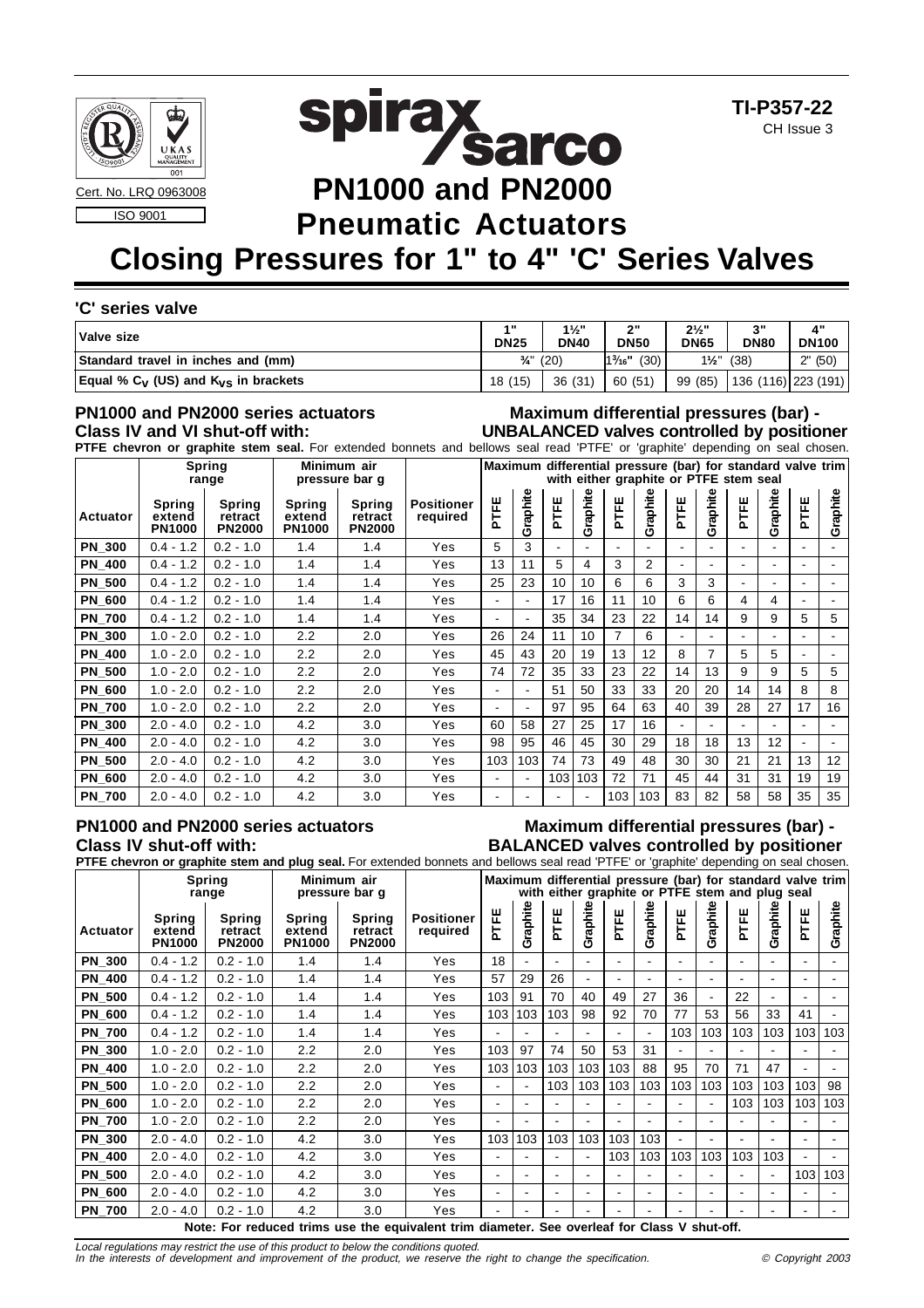





# **Pneumatic Actuators Closing Pressures for 1" to 4" 'C' Series Valves**

### **'C' series valve**

| Valve size                                  |                      | $1\frac{1}{2}$ "<br><b>DN40</b> | יי כי<br><b>DN50</b>      | $2\frac{1}{2}$<br><b>DN65</b> | 2"<br><b>DN80</b>   | <b>A</b> "<br><b>DN100</b> |
|---------------------------------------------|----------------------|---------------------------------|---------------------------|-------------------------------|---------------------|----------------------------|
| Standard travel in inches and (mm)          | $\frac{3}{4}$ " (20) |                                 | $1\frac{3}{16}$ "<br>(30) | $1\frac{1}{2}$ "              | (38)                | $2"$ (50)                  |
| Equal % $C_V$ (US) and $K_{VS}$ in brackets | 18(15)               | 36 (31)                         | 60 (51)                   | 99 (85)                       | 136 (116) 223 (191) |                            |

#### **PN1000 and PN2000 series actuators Class IV and VI shut-off with:**

#### **Maximum differential pressures (bar) - UNBALANCED valves controlled by positioner**

**PTFE chevron or graphite stem seal.** For extended bonnets and bellows seal read 'PTFE' or 'graphite' depending on seal chosen.

|               | <b>Spring</b><br>range            |                                           | Minimum air<br>pressure bar g     |                                    |                               | Maximum |          |      |          |                |          | differential pressure (bar) for standard valve trim<br>with either graphite or PTFE stem seal |          |                |                |                          |          |  |
|---------------|-----------------------------------|-------------------------------------------|-----------------------------------|------------------------------------|-------------------------------|---------|----------|------|----------|----------------|----------|-----------------------------------------------------------------------------------------------|----------|----------------|----------------|--------------------------|----------|--|
| Actuator      | Spring<br>extend<br><b>PN1000</b> | <b>Spring</b><br>retract<br><b>PN2000</b> | Spring<br>extend<br><b>PN1000</b> | Spring<br>retract<br><b>PN2000</b> | <b>Positioner</b><br>required | PTFE    | Graphite | PTFE | Graphite | PTFE           | Graphite | PTFE                                                                                          | Graphite | PTFE           | Graphite       | PTFE                     | Graphite |  |
| <b>PN 300</b> | $0.4 - 1.2$                       | $0.2 - 1.0$                               | 1.4                               | 1.4                                | Yes                           | 5       | 3        |      |          | $\blacksquare$ |          | $\blacksquare$                                                                                |          | $\blacksquare$ |                |                          |          |  |
| <b>PN 400</b> | $0.4 - 1.2$                       | $0.2 - 1.0$                               | 1.4                               | 1.4                                | Yes                           | 13      | 11       | 5    | 4        | 3              | 2        | $\overline{\phantom{a}}$                                                                      | ۰        | $\blacksquare$ | $\blacksquare$ | $\overline{\phantom{a}}$ |          |  |
| <b>PN 500</b> | $0.4 - 1.2$                       | $0.2 - 1.0$                               | 1.4                               | 1.4                                | Yes                           | 25      | 23       | 10   | 10       | 6              | 6        | 3                                                                                             | 3        | $\blacksquare$ |                |                          |          |  |
| <b>PN 600</b> | $0.4 - 1.2$                       | $0.2 - 1.0$                               | 1.4                               | 1.4                                | Yes                           |         |          | 17   | 16       | 11             | 10       | 6                                                                                             | 6        | 4              | 4              |                          |          |  |
| <b>PN 700</b> | $0.4 - 1.2$                       | $0.2 - 1.0$                               | 1.4                               | 1.4                                | Yes                           |         |          | 35   | 34       | 23             | 22       | 14                                                                                            | 14       | 9              | 9              | 5                        | 5        |  |
| <b>PN 300</b> | $1.0 - 2.0$                       | $0.2 - 1.0$                               | 2.2                               | 2.0                                | Yes                           | 26      | 24       | 11   | 10       | 7              | 6        | ٠                                                                                             |          | $\overline{a}$ |                |                          |          |  |
| <b>PN 400</b> | $1.0 - 2.0$                       | $0.2 - 1.0$                               | 2.2                               | 2.0                                | Yes                           | 45      | 43       | 20   | 19       | 13             | 12       | 8                                                                                             | 7        | 5              | 5              | $\blacksquare$           |          |  |
| <b>PN 500</b> | $1.0 - 2.0$                       | $0.2 - 1.0$                               | 2.2                               | 2.0                                | Yes                           | 74      | 72       | 35   | 33       | 23             | 22       | 14                                                                                            | 13       | 9              | 9              | 5                        | 5        |  |
| <b>PN 600</b> | $1.0 - 2.0$                       | $0.2 - 1.0$                               | $2.2\phantom{0}$                  | 2.0                                | Yes                           |         |          | 51   | 50       | 33             | 33       | 20                                                                                            | 20       | 14             | 14             | 8                        | 8        |  |
| <b>PN 700</b> | $1.0 - 2.0$                       | $0.2 - 1.0$                               | 2.2                               | 2.0                                | Yes                           |         |          | 97   | 95       | 64             | 63       | 40                                                                                            | 39       | 28             | 27             | 17                       | 16       |  |
| <b>PN 300</b> | $2.0 - 4.0$                       | $0.2 - 1.0$                               | 4.2                               | 3.0                                | Yes                           | 60      | 58       | 27   | 25       | 17             | 16       | $\sim$                                                                                        |          | $\blacksquare$ |                | $\blacksquare$           |          |  |
| <b>PN 400</b> | $2.0 - 4.0$                       | $0.2 - 1.0$                               | 4.2                               | 3.0                                | Yes                           | 98      | 95       | 46   | 45       | 30             | 29       | 18                                                                                            | 18       | 13             | 12             | $\blacksquare$           |          |  |
| <b>PN 500</b> | $2.0 - 4.0$                       | $0.2 - 1.0$                               | 4.2                               | 3.0                                | Yes                           | 103     | 103      | 74   | 73       | 49             | 48       | 30                                                                                            | 30       | 21             | 21             | 13                       | 12       |  |
| <b>PN 600</b> | $2.0 - 4.0$                       | $0.2 - 1.0$                               | 4.2                               | 3.0                                | Yes                           |         |          | 103  | 103      | 72             | 71       | 45                                                                                            | 44       | 31             | 31             | 19                       | 19       |  |
| <b>PN 700</b> | $2.0 - 4.0$                       | $0.2 - 1.0$                               | 4.2                               | 3.0                                | Yes                           |         |          |      |          | 103            | 103      | 83                                                                                            | 82       | 58             | 58             | 35                       | 35       |  |

#### **PN1000 and PN2000 series actuators Class IV shut-off with:**

### **Maximum differential pressures (bar) - BALANCED valves controlled by positioner**

**PTFE chevron or graphite stem and plug seal.** For extended bonnets and bellows seal read 'PTFE' or 'graphite' depending on seal chosen. **Spring Minimum air Maximum differential pressure (bar) for standard valve trim** range pressure bar g with either graphite or PTFE stem and plug seal

| Actuator      | Spring<br>extend<br><b>PN1000</b> | Spring<br>retract<br><b>PN2000</b> | Spring<br>extend<br><b>PN1000</b> | Spring<br>retract<br><b>PN2000</b> | <b>Positioner</b><br>required                                                                | PTFE                     | Graphite | PTFE                     | Graphite | PTFE | Graphite                 | PTFE                     | Graphite | PTFE | Graphite       | PTFE | Graphite |
|---------------|-----------------------------------|------------------------------------|-----------------------------------|------------------------------------|----------------------------------------------------------------------------------------------|--------------------------|----------|--------------------------|----------|------|--------------------------|--------------------------|----------|------|----------------|------|----------|
| <b>PN 300</b> | $0.4 - 1.2$                       | $0.2 - 1.0$                        | 1.4                               | 1.4                                | Yes                                                                                          | 18                       |          |                          |          |      |                          |                          |          |      |                |      |          |
| <b>PN 400</b> | $0.4 - 1.2$                       | $0.2 - 1.0$                        | 1.4                               | 1.4                                | Yes                                                                                          | 57                       | 29       | 26                       |          |      |                          |                          |          |      |                | ۰    |          |
| <b>PN 500</b> | $0.4 - 1.2$                       | $0.2 - 1.0$                        | 1.4                               | 1.4                                | Yes                                                                                          | 103                      | 91       | 70                       | 40       | 49   | 27                       | 36                       |          | 22   |                |      |          |
| <b>PN 600</b> | $0.4 - 1.2$                       | $0.2 - 1.0$                        | 1.4                               | 1.4                                | Yes                                                                                          | 103                      | 103      | 103                      | 98       | 92   | 70                       | 77                       | 53       | 56   | 33             | 41   |          |
| <b>PN 700</b> | $0.4 - 1.2$                       | $0.2 - 1.0$                        | 1.4                               | 1.4                                | Yes                                                                                          |                          |          |                          |          |      | $\overline{\phantom{a}}$ | 103                      | 103      | 103  | 103            | 103  | 103      |
| <b>PN 300</b> | $1.0 - 2.0$                       | $0.2 - 1.0$                        | 2.2                               | 2.0                                | Yes                                                                                          | 103                      | 97       | 74                       | 50       | 53   | 31                       | $\overline{\phantom{a}}$ |          |      |                |      |          |
| <b>PN_400</b> | $1.0 - 2.0$                       | $0.2 - 1.0$                        | 2.2                               | 2.0                                | Yes                                                                                          | 103                      | 103      | 103                      | 103      | 103  | 88                       | 95                       | 70       | 71   | 47             |      |          |
| <b>PN 500</b> | $1.0 - 2.0$                       | $0.2 - 1.0$                        | 2.2                               | 2.0                                | Yes                                                                                          |                          |          | 103                      | 103      | 103  | 103                      | 103                      | 103      | 103  | 103            | 103  | 98       |
| <b>PN 600</b> | $1.0 - 2.0$                       | $0.2 - 1.0$                        | 2.2                               | 2.0                                | Yes                                                                                          | ۰.                       |          |                          |          |      | ۰                        | $\overline{\phantom{a}}$ | ÷        | 103  | 103            | 103  | 103      |
| <b>PN 700</b> | $1.0 - 2.0$                       | $0.2 - 1.0$                        | 2.2                               | 2.0                                | Yes                                                                                          |                          |          |                          |          |      |                          | $\overline{a}$           | ٠        | ٠    |                | ۰    |          |
| <b>PN 300</b> | $2.0 - 4.0$                       | $0.2 - 1.0$                        | 4.2                               | 3.0                                | Yes                                                                                          | 103                      | 103      | 103                      | 103      | 103  | 103                      | $\overline{a}$           | ۰        | ٠    |                | ۰    |          |
| <b>PN 400</b> | $2.0 - 4.0$                       | $0.2 - 1.0$                        | 4.2                               | 3.0                                | Yes                                                                                          | $\overline{\phantom{a}}$ |          |                          | -        | 103  | 103                      | 103                      | 103      | 103  | 103            |      |          |
| <b>PN 500</b> | $2.0 - 4.0$                       | $0.2 - 1.0$                        | 4.2                               | 3.0                                | Yes                                                                                          | $\blacksquare$           |          |                          |          |      |                          | $\blacksquare$           |          | ۰    | $\blacksquare$ | 103  | 103      |
| <b>PN 600</b> | $2.0 - 4.0$                       | $0.2 - 1.0$                        | 4.2                               | 3.0                                | Yes                                                                                          |                          |          | $\overline{\phantom{a}}$ |          | ۰    | ۰                        | $\blacksquare$           |          | -    |                | ۰    |          |
| <b>PN 700</b> | $2.0 - 4.0$                       | $0.2 - 1.0$                        | 4.2                               | 3.0                                | Yes                                                                                          |                          |          |                          |          |      |                          |                          |          |      |                |      |          |
|               |                                   |                                    |                                   |                                    | Note: For reduced trims use the equivalent trim diameter. See overleaf for Class V shut-off. |                          |          |                          |          |      |                          |                          |          |      |                |      |          |

Local regulations may restrict the use of this product to below the conditions quoted.

In the interests of development and improvement of the product, we reserve the right to change the specification.  $\heartsuit$  Copyright 2003